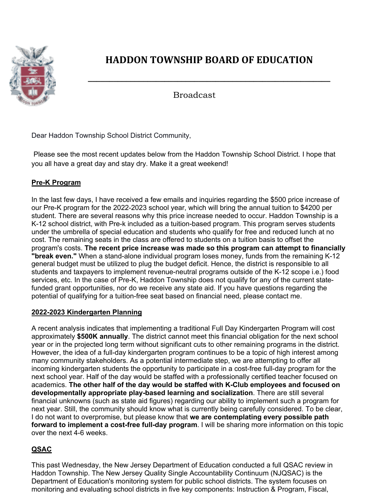

## **HADDON TOWNSHIP BOARD OF EDUCATION**

**\_\_\_\_\_\_\_\_\_\_\_\_\_\_\_\_\_\_\_\_\_\_\_\_\_\_\_\_\_\_\_\_\_\_\_\_\_\_\_\_\_\_\_\_\_\_\_\_\_\_\_\_\_\_\_\_\_**

Broadcast

Dear Haddon Township School District Community,

Please see the most recent updates below from the Haddon Township School District. I hope that you all have a great day and stay dry. Make it a great weekend!

## **Pre-K Program**

In the last few days, I have received a few emails and inquiries regarding the \$500 price increase of our Pre-K program for the 2022-2023 school year, which will bring the annual tuition to \$4200 per student. There are several reasons why this price increase needed to occur. Haddon Township is a K-12 school district, with Pre-k included as a tuition-based program. This program serves students under the umbrella of special education and students who qualify for free and reduced lunch at no cost. The remaining seats in the class are offered to students on a tuition basis to offset the program's costs. **The recent price increase was made so this program can attempt to financially "break even."** When a stand-alone individual program loses money, funds from the remaining K-12 general budget must be utilized to plug the budget deficit. Hence, the district is responsible to all students and taxpayers to implement revenue-neutral programs outside of the K-12 scope i.e.) food services, etc. In the case of Pre-K, Haddon Township does not qualify for any of the current statefunded grant opportunities, nor do we receive any state aid. If you have questions regarding the potential of qualifying for a tuition-free seat based on financial need, please contact me.

## **2022-2023 Kindergarten Planning**

A recent analysis indicates that implementing a traditional Full Day Kindergarten Program will cost approximately **\$500K annually**. The district cannot meet this financial obligation for the next school year or in the projected long term without significant cuts to other remaining programs in the district. However, the idea of a full-day kindergarten program continues to be a topic of high interest among many community stakeholders. As a potential intermediate step, we are attempting to offer all incoming kindergarten students the opportunity to participate in a cost-free full-day program for the next school year. Half of the day would be staffed with a professionally certified teacher focused on academics. **The other half of the day would be staffed with K-Club employees and focused on developmentally appropriate play-based learning and socialization**. There are still several financial unknowns (such as state aid figures) regarding our ability to implement such a program for next year. Still, the community should know what is currently being carefully considered. To be clear, I do not want to overpromise, but please know that **we are contemplating every possible path forward to implement a cost-free full-day program**. I will be sharing more information on this topic over the next 4-6 weeks.

## **QSAC**

This past Wednesday, the New Jersey Department of Education conducted a full QSAC review in Haddon Township. The New Jersey Quality Single Accountability Continuum (NJQSAC) is the Department of Education's monitoring system for public school districts. The system focuses on monitoring and evaluating school districts in five key components: Instruction & Program, Fiscal,